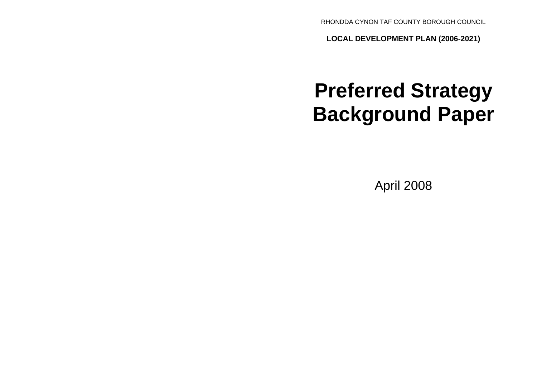RHONDDA CYNON TAF COUNTY BOROUGH COUNCIL

**LOCAL DEVELOPMENT PLAN (2006-2021)**

# **Preferred Strategy Background Paper**

April 2008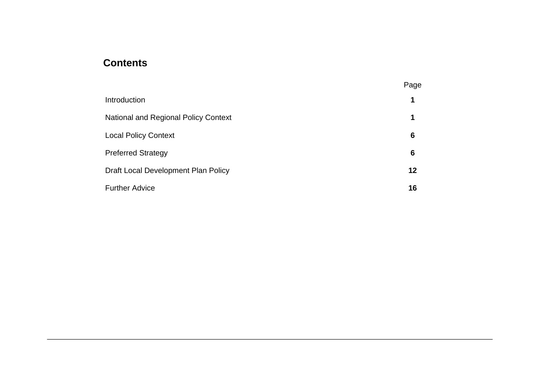## **Contents**

|                                             | Page    |
|---------------------------------------------|---------|
| Introduction                                | 1       |
| <b>National and Regional Policy Context</b> | 1       |
| <b>Local Policy Context</b>                 | 6       |
| <b>Preferred Strategy</b>                   | 6       |
| Draft Local Development Plan Policy         | $12 \,$ |
| <b>Further Advice</b>                       | 16      |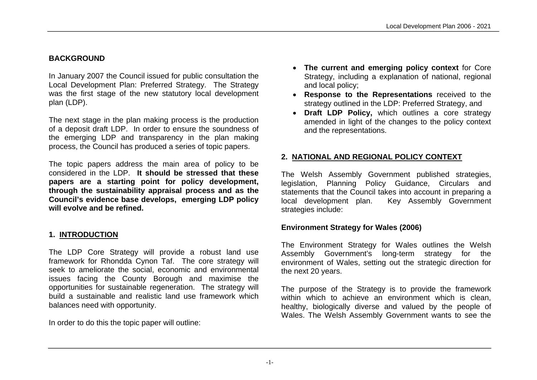## **BACKGROUND**

In January 2007 the Council issued for public consultation the Local Development Plan: Preferred Strategy. The Strategy was the first stage of the new statutory local development plan (LDP).

The next stage in the plan making process is the production of a deposit draft LDP. In order to ensure the soundness of the emerging LDP and transparency in the plan making process, the Council has produced a series of topic papers.

The topic papers address the main area of policy to be considered in the LDP. **It should be stressed that these papers are a starting point for policy development, through the sustainability appraisal process and as the Council's evidence base develops, emerging LDP policy will evolve and be refined.**

## **1. INTRODUCTION**

The LDP Core Strategy will provide a robust land use framework for Rhondda Cynon Taf. The core strategy will seek to ameliorate the social, economic and environmental issues facing the County Borough and maximise the opportunities for sustainable regeneration. The strategy will build a sustainable and realistic land use framework which balances need with opportunity.

In order to do this the topic paper will outline:

- **The current and emerging policy context** for Core Strategy, including a explanation of national, regional and local policy;
- **Response to the Representations** received to the strategy outlined in the LDP: Preferred Strategy, and
- **Draft LDP Policy,** which outlines a core strategy amended in light of the changes to the policy context and the representations.

## **2. NATIONAL AND REGIONAL POLICY CONTEXT**

The Welsh Assembly Government published strategies, legislation, Planning Policy Guidance, Circulars and statements that the Council takes into account in preparing a local development plan. Key Assembly Government strategies include:

## **Environment Strategy for Wales (2006)**

The Environment Strategy for Wales outlines the Welsh Assembly Government's long-term strategy for the environment of Wales, setting out the strategic direction for the next 20 years.

The purpose of the Strategy is to provide the framework within which to achieve an environment which is clean, healthy, biologically diverse and valued by the people of Wales. The Welsh Assembly Government wants to see the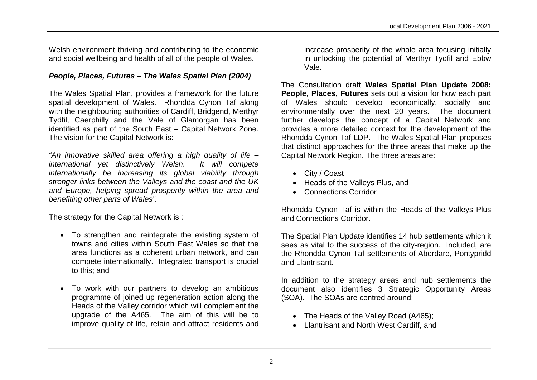Welsh environment thriving and contributing to the economic and social wellbeing and health of all of the people of Wales.

## *People, Places, Futures – The Wales Spatial Plan (2004)*

The Wales Spatial Plan, provides a framework for the future spatial development of Wales. Rhondda Cynon Taf along with the neighbouring authorities of Cardiff, Bridgend, Merthyr Tydfil, Caerphilly and the Vale of Glamorgan has been identified as part of the South East – Capital Network Zone. The vision for the Capital Network is:

*"An innovative skilled area offering a high quality of life – international yet distinctively Welsh. It will compete internationally be increasing its global viability through stronger links between the Valleys and the coast and the UK and Europe, helping spread prosperity within the area and benefiting other parts of Wales".*

The strategy for the Capital Network is :

- To strengthen and reintegrate the existing system of towns and cities within South East Wales so that the area functions as a coherent urban network, and can compete internationally. Integrated transport is crucial to this; and
- To work with our partners to develop an ambitious programme of joined up regeneration action along the Heads of the Valley corridor which will complement the upgrade of the A465. The aim of this will be to improve quality of life, retain and attract residents and

increase prosperity of the whole area focusing initially in unlocking the potential of Merthyr Tydfil and Ebbw Vale.

The Consultation draft **Wales Spatial Plan Update 2008: People, Places, Futures** sets out a vision for how each part of Wales should develop economically, socially and environmentally over the next 20 years. The document further develops the concept of a Capital Network and provides a more detailed context for the development of the Rhondda Cynon Taf LDP. The Wales Spatial Plan proposes that distinct approaches for the three areas that make up the Capital Network Region. The three areas are:

- City / Coast
- Heads of the Valleys Plus, and
- Connections Corridor

Rhondda Cynon Taf is within the Heads of the Valleys Plus and Connections Corridor.

The Spatial Plan Update identifies 14 hub settlements which it sees as vital to the success of the city-region. Included, are the Rhondda Cynon Taf settlements of Aberdare, Pontypridd and Llantrisant.

In addition to the strategy areas and hub settlements the document also identifies 3 Strategic Opportunity Areas (SOA). The SOAs are centred around:

- The Heads of the Valley Road (A465);
- Llantrisant and North West Cardiff, and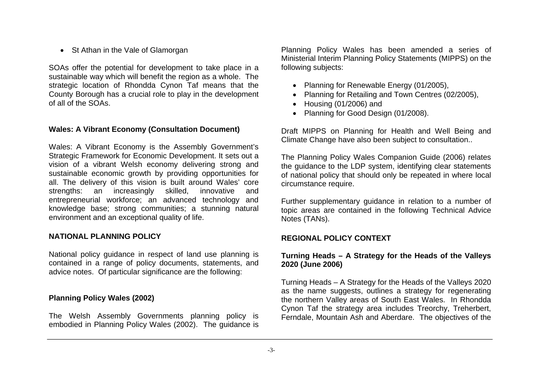• St Athan in the Vale of Glamorgan

SOAs offer the potential for development to take place in a sustainable way which will benefit the region as a whole. The strategic location of Rhondda Cynon Taf means that the County Borough has a crucial role to play in the development of all of the SOAs.

## **Wales: A Vibrant Economy (Consultation Document)**

Wales: A Vibrant Economy is the Assembly Government's Strategic Framework for Economic Development. It sets out a vision of a vibrant Welsh economy delivering strong and sustainable economic growth by providing opportunities for all. The delivery of this vision is built around Wales' core strengths: an increasingly skilled, innovative and entrepreneurial workforce; an advanced technology and knowledge base; strong communities; a stunning natural environment and an exceptional quality of life.

#### **NATIONAL PLANNING POLICY**

National policy guidance in respect of land use planning is contained in a range of policy documents, statements, and advice notes. Of particular significance are the following:

#### **Planning Policy Wales (2002)**

The Welsh Assembly Governments planning policy is embodied in Planning Policy Wales (2002). The guidance is Planning Policy Wales has been amended a series of Ministerial Interim Planning Policy Statements (MIPPS) on the following subjects:

- Planning for Renewable Energy (01/2005),
- Planning for Retailing and Town Centres (02/2005).
- Housing (01/2006) and
- Planning for Good Design (01/2008).

Draft MIPPS on Planning for Health and Well Being and Climate Change have also been subject to consultation..

The Planning Policy Wales Companion Guide (2006) relates the guidance to the LDP system, identifying clear statements of national policy that should only be repeated in where local circumstance require.

Further supplementary guidance in relation to a number of topic areas are contained in the following Technical Advice Notes (TANs).

#### **REGIONAL POLICY CONTEXT**

#### **Turning Heads – A Strategy for the Heads of the Valleys 2020 (June 2006)**

Turning Heads – A Strategy for the Heads of the Valleys 2020 as the name suggests, outlines a strategy for regenerating the northern Valley areas of South East Wales. In Rhondda Cynon Taf the strategy area includes Treorchy, Treherbert, Ferndale, Mountain Ash and Aberdare. The objectives of the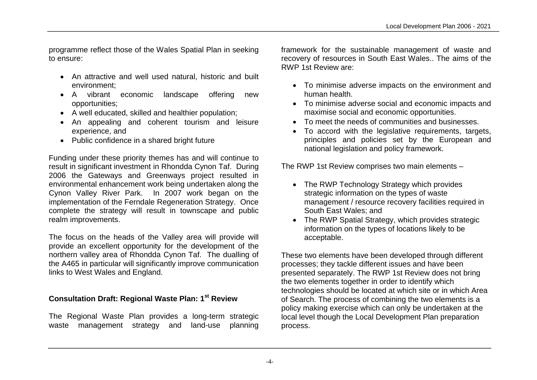programme reflect those of the Wales Spatial Plan in seeking to ensure:

- An attractive and well used natural, historic and built environment;
- A vibrant economic landscape offering new opportunities;
- A well educated, skilled and healthier population;
- An appealing and coherent tourism and leisure experience, and
- Public confidence in a shared bright future

Funding under these priority themes has and will continue to result in significant investment in Rhondda Cynon Taf. During 2006 the Gateways and Greenways project resulted in environmental enhancement work being undertaken along the Cynon Valley River Park. In 2007 work began on the implementation of the Ferndale Regeneration Strategy. Once complete the strategy will result in townscape and public realm improvements.

The focus on the heads of the Valley area will provide will provide an excellent opportunity for the development of the northern valley area of Rhondda Cynon Taf. The dualling of the A465 in particular will significantly improve communication links to West Wales and England.

## **Consultation Draft: Regional Waste Plan: 1st Review**

The Regional Waste Plan provides a long-term strategic waste management strategy and land-use planning framework for the sustainable management of waste and recovery of resources in South East Wales.. The aims of the RWP 1st Review are:

- To minimise adverse impacts on the environment and human health.
- To minimise adverse social and economic impacts and maximise social and economic opportunities.
- To meet the needs of communities and businesses.
- To accord with the legislative requirements, targets, principles and policies set by the European and national legislation and policy framework.

The RWP 1st Review comprises two main elements –

- The RWP Technology Strategy which provides strategic information on the types of waste management / resource recovery facilities required in South East Wales; and
- The RWP Spatial Strategy, which provides strategic information on the types of locations likely to be acceptable.

These two elements have been developed through different processes; they tackle different issues and have been presented separately. The RWP 1st Review does not bring the two elements together in order to identify which technologies should be located at which site or in which Area of Search. The process of combining the two elements is a policy making exercise which can only be undertaken at the local level though the Local Development Plan preparation process.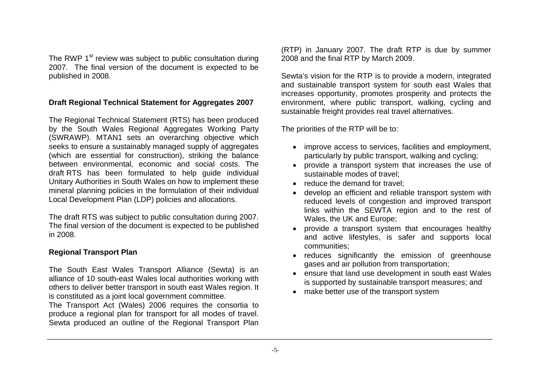The RWP 1<sup>st</sup> review was subject to public consultation during 2007. The final version of the document is expected to be published in 2008.

#### **Draft Regional Technical Statement for Aggregates 2007**

The Regional Technical Statement (RTS) has been produced by the South Wales Regional Aggregates Working Party (SWRAWP). MTAN1 sets an overarching objective which seeks to ensure a sustainably managed supply of aggregates (which are essential for construction), striking the balance between environmental, economic and social costs. The draft RTS has been formulated to help guide individual Unitary Authorities in South Wales on how to implement these mineral planning policies in the formulation of their individual Local Development Plan (LDP) policies and allocations.

The draft RTS was subject to public consultation during 2007. The final version of the document is expected to be published in 2008.

## **Regional Transport Plan**

The South East Wales Transport Alliance (Sewta) is an alliance of 10 south-east Wales local authorities working with others to deliver better transport in south east Wales region. It is constituted as a joint local government committee.

The Transport Act (Wales) 2006 requires the consortia to produce a regional plan for transport for all modes of travel. Sewta produced an outline of the Regional Transport Plan (RTP) in January 2007. The draft RTP is due by summer 2008 and the final RTP by March 2009.

Sewta's vision for the RTP is to provide a modern, integrated and sustainable transport system for south east Wales that increases opportunity, promotes prosperity and protects the environment, where public transport, walking, cycling and sustainable freight provides real travel alternatives.

The priorities of the RTP will be to:

- improve access to services, facilities and employment, particularly by public transport, walking and cycling;
- provide a transport system that increases the use of sustainable modes of travel;
- reduce the demand for travel;
- develop an efficient and reliable transport system with reduced levels of congestion and improved transport links within the SEWTA region and to the rest of Wales, the UK and Europe;
- provide a transport system that encourages healthy and active lifestyles, is safer and supports local communities;
- reduces significantly the emission of greenhouse gases and air pollution from transportation;
- ensure that land use development in south east Wales is supported by sustainable transport measures; and
- make better use of the transport system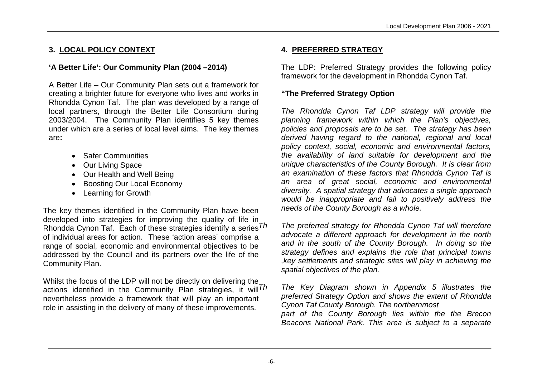## **3. LOCAL POLICY CONTEXT**

## **'A Better Life': Our Community Plan (2004 –2014)**

A Better Life – Our Community Plan sets out a framework for creating a brighter future for everyone who lives and works in Rhondda Cynon Taf. The plan was developed by a range of local partners, through the Better Life Consortium during 2003/2004. The Community Plan identifies 5 key themes under which are a series of local level aims. The key themes are**:**

- Safer Communities
- Our Living Space
- Our Health and Well Being
- Boosting Our Local Economy
- Learning for Growth

The key themes identified in the Community Plan have been developed into strategies for improving the quality of life in Rhondda Cynon Taf. Each of these strategies identify a series  $Th$ of individual areas for action. These 'action areas' comprise a range of social, economic and environmental objectives to be addressed by the Council and its partners over the life of the Community Plan.

Whilst the focus of the LDP will not be directly on delivering the actions identified in the Community Plan strategies, it will  $Th$ nevertheless provide a framework that will play an important role in assisting in the delivery of many of these improvements.

## **4. PREFERRED STRATEGY**

The LDP: Preferred Strategy provides the following policy framework for the development in Rhondda Cynon Taf.

## **"The Preferred Strategy Option**

*The Rhondda Cynon Taf LDP strategy will provide the planning framework within which the Plan's objectives, policies and proposals are to be set. The strategy has been derived having regard to the national, regional and local policy context, social, economic and environmental factors, the availability of land suitable for development and the unique characteristics of the County Borough. It is clear from an examination of these factors that Rhondda Cynon Taf is an area of great social, economic and environmental diversity. A spatial strategy that advocates a single approach would be inappropriate and fail to positively address the needs of the County Borough as a whole.*

*The preferred strategy for Rhondda Cynon Taf will therefore advocate a different approach for development in the north and in the south of the County Borough. In doing so the strategy defines and explains the role that principal towns ,key settlements and strategic sites will play in achieving the spatial objectives of the plan.*

*Th The Key Diagram shown in Appendix 5 illustrates the preferred Strategy Option and shows the extent of Rhondda Cynon Taf County Borough. The northernmost part of the County Borough lies within the the Brecon Beacons National Park. This area is subject to a separate*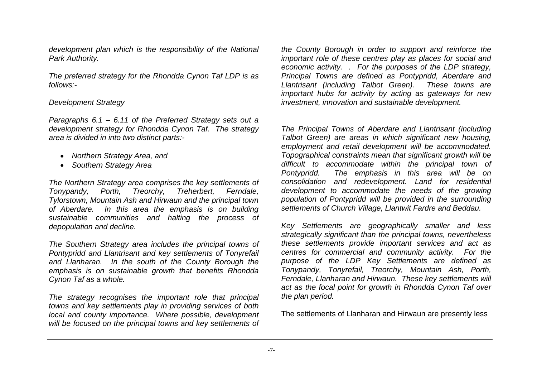*development plan which is the responsibility of the National Park Authority.*

*The preferred strategy for the Rhondda Cynon Taf LDP is as follows:-*

#### *Development Strategy*

*Paragraphs 6.1 – 6.11 of the Preferred Strategy sets out a development strategy for Rhondda Cynon Taf. The strategy area is divided in into two distinct parts:-*

- *Northern Strategy Area, and*
- *Southern Strategy Area*

*The Northern Strategy area comprises the key settlements of Tonypandy, Porth, Treorchy, Treherbert, Ferndale, Tylorstown, Mountain Ash and Hirwaun and the principal town of Aberdare. In this area the emphasis is on building sustainable communities and halting the process of depopulation and decline.*

*The Southern Strategy area includes the principal towns of Pontypridd and Llantrisant and key settlements of Tonyrefail and Llanharan. In the south of the County Borough the emphasis is on sustainable growth that benefits Rhondda Cynon Taf as a whole.*

*The strategy recognises the important role that principal towns and key settlements play in providing services of both local and county importance. Where possible, development will be focused on the principal towns and key settlements of*  *the County Borough in order to support and reinforce the important role of these centres play as places for social and economic activity. . For the purposes of the LDP strategy, Principal Towns are defined as Pontypridd, Aberdare and Llantrisant (including Talbot Green). These towns are important hubs for activity by acting as gateways for new investment, innovation and sustainable development.*

*The Principal Towns of Aberdare and Llantrisant (including Talbot Green) are areas in which significant new housing, employment and retail development will be accommodated. Topographical constraints mean that significant growth will be difficult to accommodate within the principal town of Pontypridd. The emphasis in this area will be on consolidation and redevelopment. Land for residential development to accommodate the needs of the growing population of Pontypridd will be provided in the surrounding settlements of Church Village, Llantwit Fardre and Beddau.*

*Key Settlements are geographically smaller and less strategically significant than the principal towns, nevertheless these settlements provide important services and act as centres for commercial and community activity. For the purpose of the LDP Key Settlements are defined as Tonypandy, Tonyrefail, Treorchy, Mountain Ash, Porth, Ferndale, Llanharan and Hirwaun. These key settlements will act as the focal point for growth in Rhondda Cynon Taf over the plan period.*

The settlements of Llanharan and Hirwaun are presently less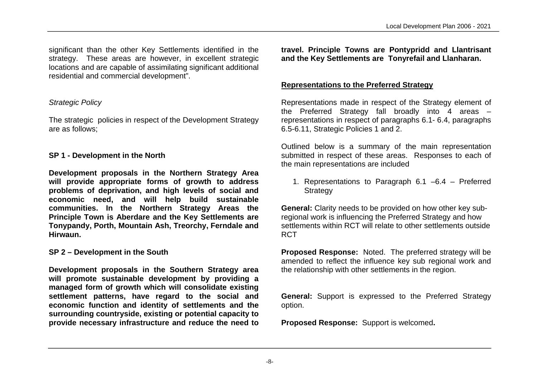significant than the other Key Settlements identified in the strategy. These areas are however, in excellent strategic locations and are capable of assimilating significant additional residential and commercial development".

## *Strategic Policy*

The strategic policies in respect of the Development Strategy are as follows;

## **SP 1 - Development in the North**

**Development proposals in the Northern Strategy Area will provide appropriate forms of growth to address problems of deprivation, and high levels of social and economic need, and will help build sustainable communities. In the Northern Strategy Areas the Principle Town is Aberdare and the Key Settlements are Tonypandy, Porth, Mountain Ash, Treorchy, Ferndale and Hirwaun.**

## **SP 2 – Development in the South**

**Development proposals in the Southern Strategy area will promote sustainable development by providing a managed form of growth which will consolidate existing settlement patterns, have regard to the social and economic function and identity of settlements and the surrounding countryside, existing or potential capacity to provide necessary infrastructure and reduce the need to**  **travel. Principle Towns are Pontypridd and Llantrisant and the Key Settlements are Tonyrefail and Llanharan.**

## **Representations to the Preferred Strategy**

Representations made in respect of the Strategy element of the Preferred Strategy fall broadly into 4 areas – representations in respect of paragraphs 6.1- 6.4, paragraphs 6.5-6.11, Strategic Policies 1 and 2.

Outlined below is a summary of the main representation submitted in respect of these areas. Responses to each of the main representations are included

1. Representations to Paragraph 6.1 –6.4 – Preferred **Strategy** 

**General:** Clarity needs to be provided on how other key subregional work is influencing the Preferred Strategy and how settlements within RCT will relate to other settlements outside RCT

**Proposed Response:** Noted. The preferred strategy will be amended to reflect the influence key sub regional work and the relationship with other settlements in the region.

**General:** Support is expressed to the Preferred Strategy option.

**Proposed Response:** Support is welcomed**.**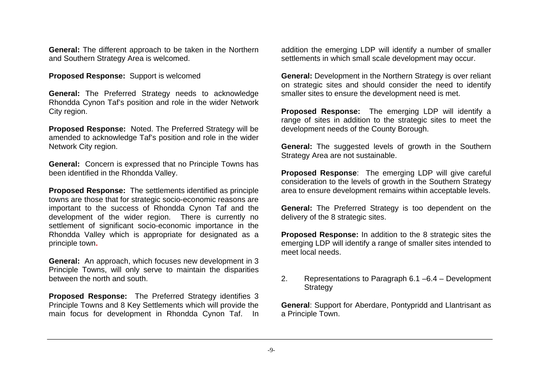**General:** The different approach to be taken in the Northern and Southern Strategy Area is welcomed.

**Proposed Response:** Support is welcomed

**General:** The Preferred Strategy needs to acknowledge Rhondda Cynon Taf's position and role in the wider Network City region.

**Proposed Response:** Noted. The Preferred Strategy will be amended to acknowledge Taf's position and role in the wider Network City region.

**General:** Concern is expressed that no Principle Towns has been identified in the Rhondda Valley.

**Proposed Response:** The settlements identified as principle towns are those that for strategic socio-economic reasons are important to the success of Rhondda Cynon Taf and the development of the wider region. There is currently no settlement of significant socio-economic importance in the Rhondda Valley which is appropriate for designated as a principle town**.**

**General:** An approach, which focuses new development in 3 Principle Towns, will only serve to maintain the disparities between the north and south.

**Proposed Response:** The Preferred Strategy identifies 3 Principle Towns and 8 Key Settlements which will provide the main focus for development in Rhondda Cynon Taf. In addition the emerging LDP will identify a number of smaller settlements in which small scale development may occur.

**General:** Development in the Northern Strategy is over reliant on strategic sites and should consider the need to identify smaller sites to ensure the development need is met.

**Proposed Response:** The emerging LDP will identify a range of sites in addition to the strategic sites to meet the development needs of the County Borough.

**General:** The suggested levels of growth in the Southern Strategy Area are not sustainable.

**Proposed Response**: The emerging LDP will give careful consideration to the levels of growth in the Southern Strategy area to ensure development remains within acceptable levels.

**General:** The Preferred Strategy is too dependent on the delivery of the 8 strategic sites.

**Proposed Response:** In addition to the 8 strategic sites the emerging LDP will identify a range of smaller sites intended to meet local needs.

2. Representations to Paragraph 6.1 –6.4 – Development **Strategy** 

**General**: Support for Aberdare, Pontypridd and Llantrisant as a Principle Town.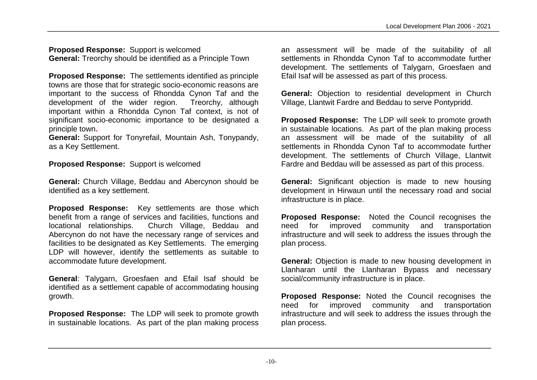**Proposed Response:** Support is welcomed **General:** Treorchy should be identified as a Principle Town

**Proposed Response:** The settlements identified as principle towns are those that for strategic socio-economic reasons are important to the success of Rhondda Cynon Taf and the development of the wider region. Treorchy, although important within a Rhondda Cynon Taf context, is not of significant socio-economic importance to be designated a principle town**.**

**General:** Support for Tonyrefail, Mountain Ash, Tonypandy, as a Key Settlement.

**Proposed Response:** Support is welcomed

**General:** Church Village, Beddau and Abercynon should be identified as a key settlement.

**Proposed Response:** Key settlements are those which benefit from a range of services and facilities, functions and locational relationships. Church Village, Beddau and Abercynon do not have the necessary range of services and facilities to be designated as Key Settlements. The emerging LDP will however, identify the settlements as suitable to accommodate future development.

**General**: Talygarn, Groesfaen and Efail Isaf should be identified as a settlement capable of accommodating housing growth.

**Proposed Response:** The LDP will seek to promote growth in sustainable locations. As part of the plan making process

an assessment will be made of the suitability of all settlements in Rhondda Cynon Taf to accommodate further development. The settlements of Talygarn, Groesfaen and Efail Isaf will be assessed as part of this process.

**General:** Objection to residential development in Church Village, Llantwit Fardre and Beddau to serve Pontypridd.

**Proposed Response:** The LDP will seek to promote growth in sustainable locations. As part of the plan making process an assessment will be made of the suitability of all settlements in Rhondda Cynon Taf to accommodate further development. The settlements of Church Village, Llantwit Fardre and Beddau will be assessed as part of this process.

**General:** Significant objection is made to new housing development in Hirwaun until the necessary road and social infrastructure is in place.

**Proposed Response:** Noted the Council recognises the need for improved community and transportation infrastructure and will seek to address the issues through the plan process.

**General:** Objection is made to new housing development in Llanharan until the Llanharan Bypass and necessary social/community infrastructure is in place.

**Proposed Response:** Noted the Council recognises the need for improved community and transportation infrastructure and will seek to address the issues through the plan process.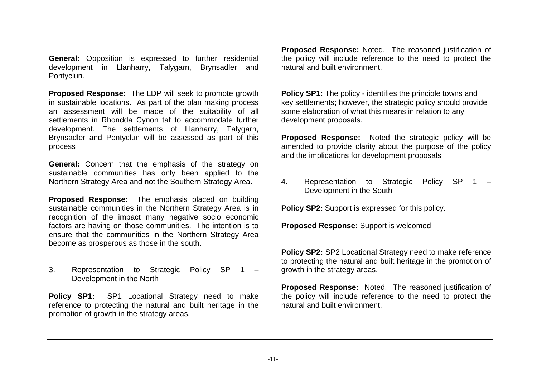**General:** Opposition is expressed to further residential development in Llanharry, Talygarn, Brynsadler and Pontyclun.

**Proposed Response:** The LDP will seek to promote growth in sustainable locations. As part of the plan making process an assessment will be made of the suitability of all settlements in Rhondda Cynon taf to accommodate further development. The settlements of Llanharry, Talygarn, Brynsadler and Pontyclun will be assessed as part of this process

**General:** Concern that the emphasis of the strategy on sustainable communities has only been applied to the Northern Strategy Area and not the Southern Strategy Area.

**Proposed Response:** The emphasis placed on building sustainable communities in the Northern Strategy Area is in recognition of the impact many negative socio economic factors are having on those communities. The intention is to ensure that the communities in the Northern Strategy Area become as prosperous as those in the south.

## 3. Representation to Strategic Policy SP 1 – Development in the North

**Policy SP1:** SP1 Locational Strategy need to make reference to protecting the natural and built heritage in the promotion of growth in the strategy areas.

**Proposed Response:** Noted. The reasoned justification of the policy will include reference to the need to protect the natural and built environment.

**Policy SP1:** The policy - identifies the principle towns and key settlements; however, the strategic policy should provide some elaboration of what this means in relation to any development proposals.

**Proposed Response:** Noted the strategic policy will be amended to provide clarity about the purpose of the policy and the implications for development proposals

4. Representation to Strategic Policy SP 1 – Development in the South

**Policy SP2:** Support is expressed for this policy.

**Proposed Response:** Support is welcomed

**Policy SP2:** SP2 Locational Strategy need to make reference to protecting the natural and built heritage in the promotion of growth in the strategy areas.

**Proposed Response:** Noted. The reasoned justification of the policy will include reference to the need to protect the natural and built environment.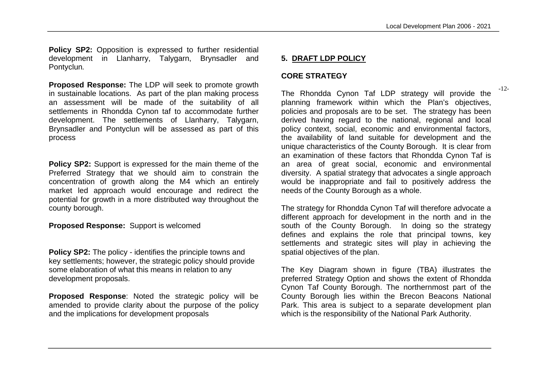**Policy SP2:** Opposition is expressed to further residential development in Llanharry, Talygarn, Brynsadler and Pontyclun*.*

**Proposed Response:** The LDP will seek to promote growth in sustainable locations. As part of the plan making process an assessment will be made of the suitability of all settlements in Rhondda Cynon taf to accommodate further development. The settlements of Llanharry, Talygarn, Brynsadler and Pontyclun will be assessed as part of this process

**Policy SP2:** Support is expressed for the main theme of the Preferred Strategy that we should aim to constrain the concentration of growth along the M4 which an entirely market led approach would encourage and redirect the potential for growth in a more distributed way throughout the county borough.

**Proposed Response:** Support is welcomed

**Policy SP2:** The policy - identifies the principle towns and key settlements; however, the strategic policy should provide some elaboration of what this means in relation to any development proposals.

**Proposed Response**: Noted the strategic policy will be amended to provide clarity about the purpose of the policy and the implications for development proposals

#### **5. DRAFT LDP POLICY**

#### **CORE STRATEGY**

The Rhondda Cynon Taf LDP strategy will provide the planning framework within which the Plan's objectives, policies and proposals are to be set. The strategy has been derived having regard to the national, regional and local policy context, social, economic and environmental factors, the availability of land suitable for development and the unique characteristics of the County Borough. It is clear from an examination of these factors that Rhondda Cynon Taf is an area of great social, economic and environmental diversity. A spatial strategy that advocates a single approach would be inappropriate and fail to positively address the needs of the County Borough as a whole.

The strategy for Rhondda Cynon Taf will therefore advocate a different approach for development in the north and in the south of the County Borough. In doing so the strategy defines and explains the role that principal towns, key settlements and strategic sites will play in achieving the spatial objectives of the plan.

The Key Diagram shown in figure (TBA) illustrates the preferred Strategy Option and shows the extent of Rhondda Cynon Taf County Borough. The northernmost part of the County Borough lies within the Brecon Beacons National Park. This area is subject to a separate development plan which is the responsibility of the National Park Authority.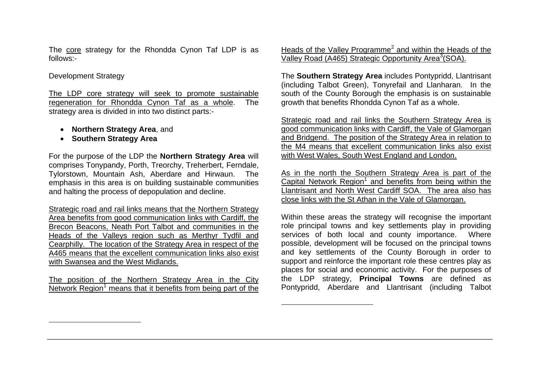The core strategy for the Rhondda Cynon Taf LDP is as follows:-

#### Development Strategy

 $\overline{a}$ 

The LDP core strategy will seek to promote sustainable regeneration for Rhondda Cynon Taf as a whole. The strategy area is divided in into two distinct parts:-

- **Northern Strategy Area**, and
- **Southern Strategy Area**

For the purpose of the LDP the **Northern Strategy Area** will comprises Tonypandy, Porth, Treorchy, Treherbert, Ferndale, Tylorstown, Mountain Ash, Aberdare and Hirwaun. The emphasis in this area is on building sustainable communities and halting the process of depopulation and decline.

Strategic road and rail links means that the Northern Strategy Area benefits from good communication links with Cardiff, the Brecon Beacons, Neath Port Talbot and communities in the Heads of the Valleys region such as Merthyr Tydfil and Cearphilly. The location of the Strategy Area in respect of the A465 means that the excellent communication links also exist with Swansea and the West Midlands.

The position of the Northern Strategy Area in the City Network Region<sup>1</sup> means that it benefits from being part of the Heads of the Valley Programme<sup>2</sup> and within the Heads of the Valley Road (A465) Strategic Opportunity Area<sup>3</sup>(SOA).

The **Southern Strategy Area** includes Pontypridd, Llantrisant (including Talbot Green), Tonyrefail and Llanharan. In the south of the County Borough the emphasis is on sustainable growth that benefits Rhondda Cynon Taf as a whole.

Strategic road and rail links the Southern Strategy Area is good communication links with Cardiff, the Vale of Glamorgan and Bridgend. The position of the Strategy Area in relation to the M4 means that excellent communication links also exist with West Wales, South West England and London.

As in the north the Southern Strategy Area is part of the Capital Network Region<sup>1</sup> and benefits from being within the Llantrisant and North West Cardiff SOA. The area also has close links with the St Athan in the Vale of Glamorgan.

Within these areas the strategy will recognise the important role principal towns and key settlements play in providing services of both local and county importance. Where possible, development will be focused on the principal towns and key settlements of the County Borough in order to support and reinforce the important role these centres play as places for social and economic activity. For the purposes of the LDP strategy, **Principal Towns** are defined as Pontypridd, Aberdare and Llantrisant (including Talbot

 $\overline{a}$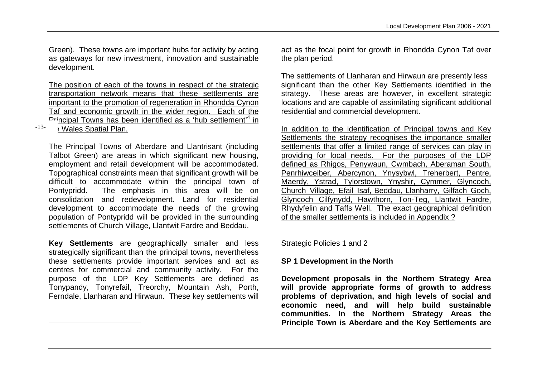Green). These towns are important hubs for activity by acting as gateways for new investment, innovation and sustainable development.

The position of each of the towns in respect of the strategic transportation network means that these settlements are important to the promotion of regeneration in Rhondda Cynon Taf and economic growth in the wider region. Each of the Principal Towns has been identified as a 'hub settlement'<sup>4</sup> in

: Wales Spatial Plan. -13-

 $\overline{a}$ 

The Principal Towns of Aberdare and Llantrisant (including Talbot Green) are areas in which significant new housing, employment and retail development will be accommodated. Topographical constraints mean that significant growth will be difficult to accommodate within the principal town of Pontypridd. The emphasis in this area will be on consolidation and redevelopment. Land for residential development to accommodate the needs of the growing population of Pontypridd will be provided in the surrounding settlements of Church Village, Llantwit Fardre and Beddau.

**Key Settlements** are geographically smaller and less strategically significant than the principal towns, nevertheless these settlements provide important services and act as centres for commercial and community activity. For the purpose of the LDP Key Settlements are defined as Tonypandy, Tonyrefail, Treorchy, Mountain Ash, Porth, Ferndale, Llanharan and Hirwaun. These key settlements will act as the focal point for growth in Rhondda Cynon Taf over the plan period.

The settlements of Llanharan and Hirwaun are presently less significant than the other Key Settlements identified in the strategy. These areas are however, in excellent strategic locations and are capable of assimilating significant additional residential and commercial development.

In addition to the identification of Principal towns and Key Settlements the strategy recognises the importance smaller settlements that offer a limited range of services can play in providing for local needs. For the purposes of the LDP defined as Rhigos, Penywaun, Cwmbach, Aberaman South, Penrhiwceiber, Abercynon, Ynysybwl, Treherbert, Pentre, Maerdy, Ystrad, Tylorstown, Ynyshir, Cymmer, Glyncoch, Church Village, Efail Isaf, Beddau, Llanharry, Gilfach Goch, Glyncoch Cilfynydd, Hawthorn, Ton-Teg, Llantwit Fardre, Rhydyfelin and Taffs Well. The exact geographical definition of the smaller settlements is included in Appendix ?

Strategic Policies 1 and 2

#### **SP 1 Development in the North**

**Development proposals in the Northern Strategy Area will provide appropriate forms of growth to address problems of deprivation, and high levels of social and economic need, and will help build sustainable communities. In the Northern Strategy Areas the Principle Town is Aberdare and the Key Settlements are**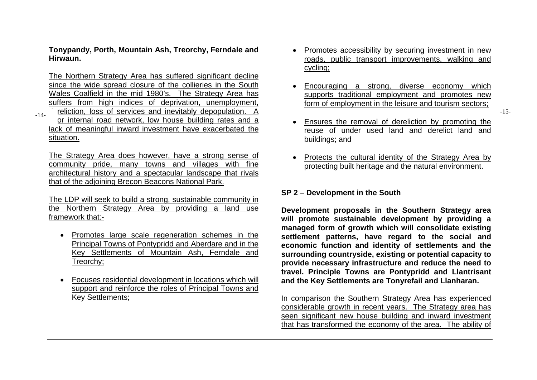**Tonypandy, Porth, Mountain Ash, Treorchy, Ferndale and Hirwaun.**

The Northern Strategy Area has suffered significant decline since the wide spread closure of the collieries in the South Wales Coalfield in the mid 1980's. The Strategy Area has suffers from high indices of deprivation, unemployment, -14- reliction, loss of services and inevitably depopulation. A example of the service of the services of services and inevitably depopulation. A example of the services and inevitably depopulation. A or internal road network, low house building rates and a lack of meaningful inward investment have exacerbated the situation.

The Strategy Area does however, have a strong sense of community pride, many towns and villages with fine architectural history and a spectacular landscape that rivals that of the adjoining Brecon Beacons National Park.

The LDP will seek to build a strong, sustainable community in the Northern Strategy Area by providing a land use framework that:-

- Promotes large scale regeneration schemes in the Principal Towns of Pontypridd and Aberdare and in the Key Settlements of Mountain Ash, Ferndale and Treorchy;
- Focuses residential development in locations which will support and reinforce the roles of Principal Towns and Key Settlements;
- Promotes accessibility by securing investment in new roads, public transport improvements, walking and cycling;
- Encouraging a strong, diverse economy which supports traditional employment and promotes new form of employment in the leisure and tourism sectors;
- Ensures the removal of dereliction by promoting the reuse of under used land and derelict land and buildings; and
- Protects the cultural identity of the Strategy Area by protecting built heritage and the natural environment.

#### **SP 2 – Development in the South**

**Development proposals in the Southern Strategy area will promote sustainable development by providing a managed form of growth which will consolidate existing settlement patterns, have regard to the social and economic function and identity of settlements and the surrounding countryside, existing or potential capacity to provide necessary infrastructure and reduce the need to travel. Principle Towns are Pontypridd and Llantrisant and the Key Settlements are Tonyrefail and Llanharan.**

In comparison the Southern Strategy Area has experienced considerable growth in recent years. The Strategy area has seen significant new house building and inward investment that has transformed the economy of the area. The ability of